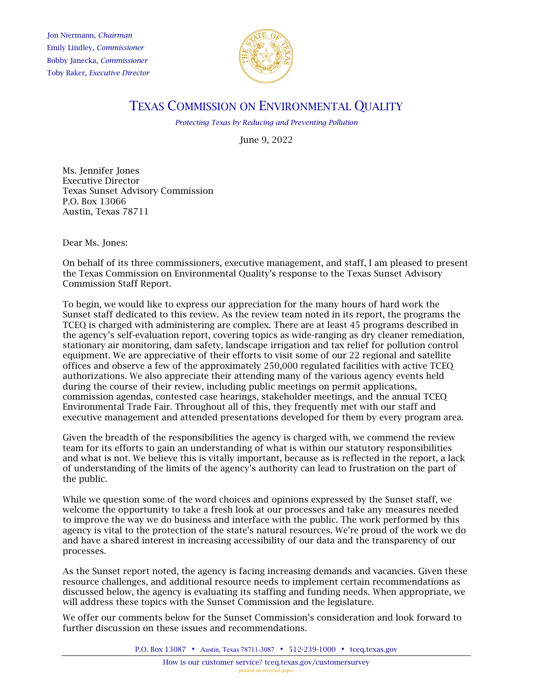Jon Niermann, *Chairman*  Emily Lindley, *Commissioner*  Bobby Janecka, *Commissioner*  Toby Baker, *Executive Director* 



# TEXAS COMMISSION ON ENVIRONMENTAL QUALITY

*Protecting Texas by Reducing and Preventing Pollution* 

June 9, 2022

Ms. Jennifer Jones Executive Director Texas Sunset Advisory Commission P.O. Box 13066 Austin, Texas 78711

Dear Ms. Jones:

On behalf of its three commissioners, executive management, and staff, I am pleased to present the Texas Commission on Environmental Quality's response to the Texas Sunset Advisory Commission Staff Report.

 authorizations. We also appreciate their attending many of the various agency events held To begin, we would like to express our appreciation for the many hours of hard work the Sunset staff dedicated to this review. As the review team noted in its report, the programs the TCEQ is charged with administering are complex. There are at least 45 programs described in the agency's self-evaluation report, covering topics as wide-ranging as dry cleaner remediation, stationary air monitoring, dam safety, landscape irrigation and tax relief for pollution control equipment. We are appreciative of their efforts to visit some of our 22 regional and satellite offices and observe a few of the approximately 250,000 regulated facilities with active TCEQ during the course of their review, including public meetings on permit applications, commission agendas, contested case hearings, stakeholder meetings, and the annual TCEQ Environmental Trade Fair. Throughout all of this, they frequently met with our staff and executive management and attended presentations developed for them by every program area.

Given the breadth of the responsibilities the agency is charged with, we commend the review team for its efforts to gain an understanding of what is within our statutory responsibilities and what is not. We believe this is vitally important, because as is reflected in the report, a lack of understanding of the limits of the agency's authority can lead to frustration on the part of the public.

 While we question some of the word choices and opinions expressed by the Sunset staff, we welcome the opportunity to take a fresh look at our processes and take any measures needed to improve the way we do business and interface with the public. The work performed by this agency is vital to the protection of the state's natural resources. We're proud of the work we do and have a shared interest in increasing accessibility of our data and the transparency of our processes.

As the Sunset report noted, the agency is facing increasing demands and vacancies. Given these resource challenges, and additional resource needs to implement certain recommendations as discussed below, the agency is evaluating its staffing and funding needs. When appropriate, we will address these topics with the Sunset Commission and the legislature.

We offer our comments below for the Sunset Commission's consideration and look forward to further discussion on these issues and recommendations.

P.O. Box 13087 • Austin, Texas 78711-3087 • 512-239-1000 • [tceq.texas.gov](http://www.tceq.state.tx.us/)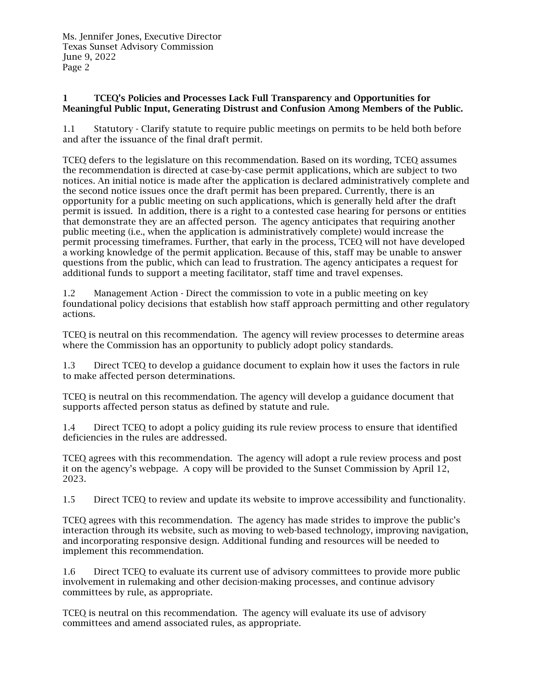### 1 TCEQ's Policies and Processes Lack Full Transparency and Opportunities for Meaningful Public Input, Generating Distrust and Confusion Among Members of the Public.

1.1 Statutory - Clarify statute to require public meetings on permits to be held both before and after the issuance of the final draft permit.

 TCEQ defers to the legislature on this recommendation. Based on its wording, TCEQ assumes opportunity for a public meeting on such applications, which is generally held after the draft additional funds to support a meeting facilitator, staff time and travel expenses. the recommendation is directed at case-by-case permit applications, which are subject to two notices. An initial notice is made after the application is declared administratively complete and the second notice issues once the draft permit has been prepared. Currently, there is an permit is issued. In addition, there is a right to a contested case hearing for persons or entities that demonstrate they are an affected person. The agency anticipates that requiring another public meeting (i.e., when the application is administratively complete) would increase the permit processing timeframes. Further, that early in the process, TCEQ will not have developed a working knowledge of the permit application. Because of this, staff may be unable to answer questions from the public, which can lead to frustration. The agency anticipates a request for

1.2 Management Action - Direct the commission to vote in a public meeting on key foundational policy decisions that establish how staff approach permitting and other regulatory actions.

 TCEQ is neutral on this recommendation. The agency will review processes to determine areas where the Commission has an opportunity to publicly adopt policy standards.

 to make affected person determinations. 1.3 Direct TCEQ to develop a guidance document to explain how it uses the factors in rule

TCEQ is neutral on this recommendation. The agency will develop a guidance document that supports affected person status as defined by statute and rule.

1.4 Direct TCEQ to adopt a policy guiding its rule review process to ensure that identified deficiencies in the rules are addressed.

 it on the agency's webpage. A copy will be provided to the Sunset Commission by April 12, TCEQ agrees with this recommendation. The agency will adopt a rule review process and post 2023.

1.5 Direct TCEQ to review and update its website to improve accessibility and functionality.

 and incorporating responsive design. Additional funding and resources will be needed to TCEQ agrees with this recommendation. The agency has made strides to improve the public's interaction through its website, such as moving to web-based technology, improving navigation, implement this recommendation.

1.6 Direct TCEQ to evaluate its current use of advisory committees to provide more public involvement in rulemaking and other decision-making processes, and continue advisory committees by rule, as appropriate.

 committees and amend associated rules, as appropriate. TCEQ is neutral on this recommendation. The agency will evaluate its use of advisory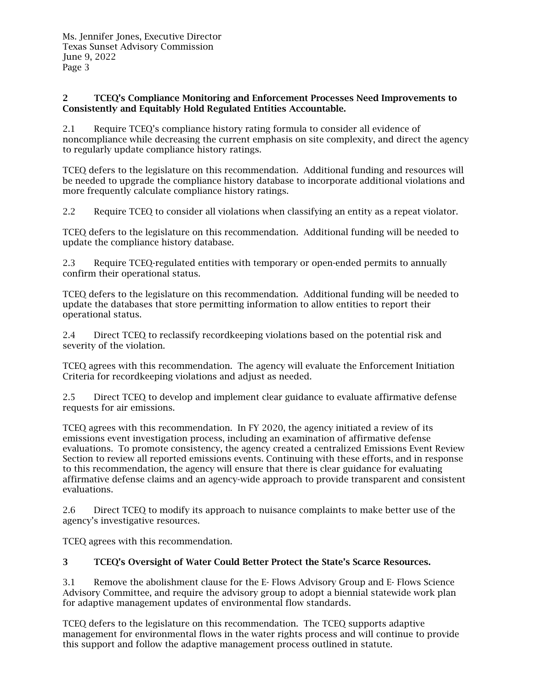#### 2 TCEQ's Compliance Monitoring and Enforcement Processes Need Improvements to Consistently and Equitably Hold Regulated Entities Accountable.

2.1 Require TCEQ's compliance history rating formula to consider all evidence of noncompliance while decreasing the current emphasis on site complexity, and direct the agency to regularly update compliance history ratings.

 TCEQ defers to the legislature on this recommendation. Additional funding and resources will be needed to upgrade the compliance history database to incorporate additional violations and more frequently calculate compliance history ratings.

Require TCEQ to consider all violations when classifying an entity as a repeat violator.

2.2 Require TCEQ to consider all violations when classifying an entity as a repeat violator.<br>TCEQ defers to the legislature on this recommendation. Additional funding will be needed to update the compliance history database.

2.3 Require TCEQ-regulated entities with temporary or open-ended permits to annually confirm their operational status.

TCEQ defers to the legislature on this recommendation. Additional funding will be needed to update the databases that store permitting information to allow entities to report their operational status.

 2.4 Direct TCEQ to reclassify recordkeeping violations based on the potential risk and severity of the violation.

TCEQ agrees with this recommendation. The agency will evaluate the Enforcement Initiation Criteria for recordkeeping violations and adjust as needed.

2.5 Direct TCEQ to develop and implement clear guidance to evaluate affirmative defense requests for air emissions.

 evaluations. To promote consistency, the agency created a centralized Emissions Event Review TCEQ agrees with this recommendation. In FY 2020, the agency initiated a review of its emissions event investigation process, including an examination of affirmative defense Section to review all reported emissions events. Continuing with these efforts, and in response to this recommendation, the agency will ensure that there is clear guidance for evaluating affirmative defense claims and an agency-wide approach to provide transparent and consistent evaluations.

agency's investigative resources. 2.6 Direct TCEQ to modify its approach to nuisance complaints to make better use of the

agency's investigative resources.<br>TCEQ agrees with this recommendation.

### 3 TCEQ's Oversight of Water Could Better Protect the State's Scarce Resources.

3.1 Remove the abolishment clause for the E- Flows Advisory Group and E- Flows Science Advisory Committee, and require the advisory group to adopt a biennial statewide work plan for adaptive management updates of environmental flow standards.

TCEQ defers to the legislature on this recommendation. The TCEQ supports adaptive management for environmental flows in the water rights process and will continue to provide this support and follow the adaptive management process outlined in statute.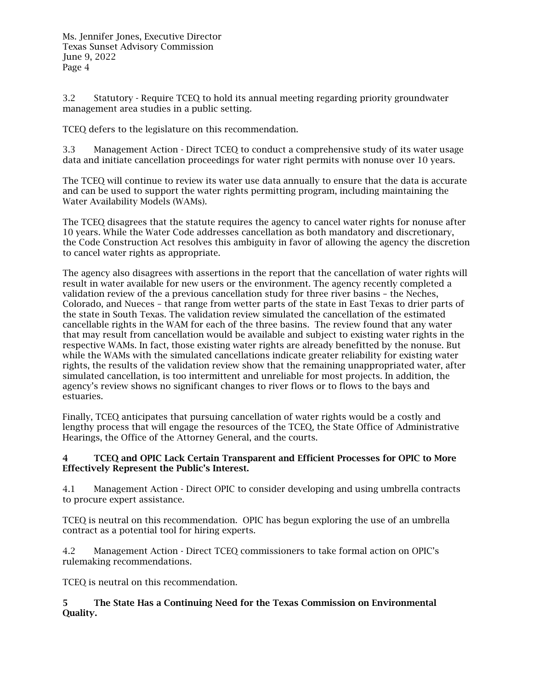3.2 Statutory - Require TCEQ to hold its annual meeting regarding priority groundwater management area studies in a public setting.

TCEQ defers to the legislature on this recommendation.

3.3 Management Action - Direct TCEQ to conduct a comprehensive study of its water usage data and initiate cancellation proceedings for water right permits with nonuse over 10 years.

The TCEQ will continue to review its water use data annually to ensure that the data is accurate and can be used to support the water rights permitting program, including maintaining the Water Availability Models (WAMs).

The TCEQ disagrees that the statute requires the agency to cancel water rights for nonuse after 10 years. While the Water Code addresses cancellation as both mandatory and discretionary, the Code Construction Act resolves this ambiguity in favor of allowing the agency the discretion to cancel water rights as appropriate.

 validation review of the a previous cancellation study for three river basins – the Neches, Colorado, and Nueces – that range from wetter parts of the state in East Texas to drier parts of respective WAMs. In fact, those existing water rights are already benefitted by the nonuse. But agency's review shows no significant changes to river flows or to flows to the bays and The agency also disagrees with assertions in the report that the cancellation of water rights will result in water available for new users or the environment. The agency recently completed a the state in South Texas. The validation review simulated the cancellation of the estimated cancellable rights in the WAM for each of the three basins. The review found that any water that may result from cancellation would be available and subject to existing water rights in the while the WAMs with the simulated cancellations indicate greater reliability for existing water rights, the results of the validation review show that the remaining unappropriated water, after simulated cancellation, is too intermittent and unreliable for most projects. In addition, the estuaries.

Finally, TCEQ anticipates that pursuing cancellation of water rights would be a costly and lengthy process that will engage the resources of the TCEQ, the State Office of Administrative Hearings, the Office of the Attorney General, and the courts.

### 4 TCEQ and OPIC Lack Certain Transparent and Efficient Processes for OPIC to More Effectively Represent the Public's Interest.

4.1 Management Action - Direct OPIC to consider developing and using umbrella contracts to procure expert assistance.

 TCEQ is neutral on this recommendation. OPIC has begun exploring the use of an umbrella contract as a potential tool for hiring experts.

4.2 Management Action - Direct TCEO commissioners to take formal action on OPIC's rulemaking recommendations.

TCEQ is neutral on this recommendation.

## 5 The State Has a Continuing Need for the Texas Commission on Environmental Quality.